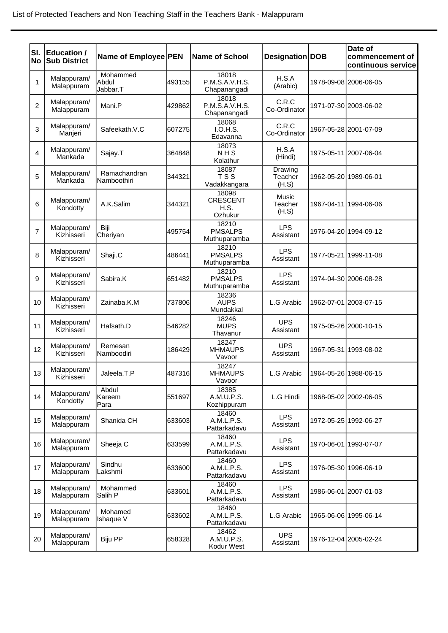| SI.<br><b>No</b> | <b>Education /</b><br><b>Sub District</b> | Name of Employee PEN          |        | <b>Name of School</b>                       | Designation DOB             | Date of<br>commencement of<br>continuous service |
|------------------|-------------------------------------------|-------------------------------|--------|---------------------------------------------|-----------------------------|--------------------------------------------------|
| 1                | Malappuram/<br>Malappuram                 | Mohammed<br>Abdul<br>Jabbar.T | 493155 | 18018<br>P.M.S.A.V.H.S.<br>Chapanangadi     | H.S.A<br>(Arabic)           | 1978-09-08 2006-06-05                            |
| $\overline{c}$   | Malappuram/<br>Malappuram                 | Mani.P                        | 429862 | 18018<br>P.M.S.A.V.H.S.<br>Chapanangadi     | C.R.C<br>Co-Ordinator       | 1971-07-30 2003-06-02                            |
| 3                | Malappuram/<br>Manjeri                    | Safeekath.V.C                 | 607275 | 18068<br>I.O.H.S.<br>Edavanna               | C.R.C<br>Co-Ordinator       | 1967-05-28 2001-07-09                            |
| 4                | Malappuram/<br>Mankada                    | Sajay.T                       | 364848 | 18073<br>NHS<br>Kolathur                    | H.S.A<br>(Hindi)            | 1975-05-11 2007-06-04                            |
| 5                | Malappuram/<br>Mankada                    | Ramachandran<br>Namboothiri   | 344321 | 18087<br><b>TSS</b><br>Vadakkangara         | Drawing<br>Teacher<br>(H.S) | 1962-05-20 1989-06-01                            |
| 6                | Malappuram/<br>Kondotty                   | A.K.Salim                     | 344321 | 18098<br><b>CRESCENT</b><br>H.S.<br>Ozhukur | Music<br>Teacher<br>(H.S)   | 1967-04-11 1994-06-06                            |
| $\overline{7}$   | Malappuram/<br>Kizhisseri                 | Biji<br>Cheriyan              | 495754 | 18210<br><b>PMSALPS</b><br>Muthuparamba     | <b>LPS</b><br>Assistant     | 1976-04-20 1994-09-12                            |
| 8                | Malappuram/<br>Kizhisseri                 | Shaji.C                       | 486441 | 18210<br><b>PMSALPS</b><br>Muthuparamba     | <b>LPS</b><br>Assistant     | 1977-05-21 1999-11-08                            |
| 9                | Malappuram/<br>Kizhisseri                 | Sabira.K                      | 651482 | 18210<br><b>PMSALPS</b><br>Muthuparamba     | <b>LPS</b><br>Assistant     | 1974-04-30 2006-08-28                            |
| 10               | Malappuram/<br>Kizhisseri                 | Zainaba.K.M                   | 737806 | 18236<br><b>AUPS</b><br>Mundakkal           | L.G Arabic                  | 1962-07-01 2003-07-15                            |
| 11               | Malappuram/<br>Kizhisseri                 | Hafsath.D                     | 546282 | 18246<br><b>MUPS</b><br>Thavanur            | <b>UPS</b><br>Assistant     | 1975-05-26 2000-10-15                            |
| 12               | Malappuram/<br>Kizhisseri                 | Remesan<br>Namboodiri         | 186429 | 18247<br><b>MHMAUPS</b><br>Vavoor           | <b>UPS</b><br>Assistant     | 1967-05-31 1993-08-02                            |
| 13               | Malappuram/<br>Kizhisseri                 | Jaleela.T.P                   | 487316 | 18247<br><b>MHMAUPS</b><br>Vavoor           | L.G Arabic                  | 1964-05-26 1988-06-15                            |
| 14               | Malappuram/<br>Kondotty                   | Abdul<br>Kareem<br>Para       | 551697 | 18385<br>A.M.U.P.S.<br>Kozhippuram          | L.G Hindi                   | 1968-05-02 2002-06-05                            |
| 15               | Malappuram/<br>Malappuram                 | Shanida CH                    | 633603 | 18460<br>A.M.L.P.S.<br>Pattarkadavu         | <b>LPS</b><br>Assistant     | 1972-05-25 1992-06-27                            |
| 16               | Malappuram/<br>Malappuram                 | Sheeja C                      | 633599 | 18460<br>A.M.L.P.S.<br>Pattarkadavu         | <b>LPS</b><br>Assistant     | 1970-06-01 1993-07-07                            |
| 17               | Malappuram/<br>Malappuram                 | Sindhu<br>Lakshmi             | 633600 | 18460<br>A.M.L.P.S.<br>Pattarkadavu         | <b>LPS</b><br>Assistant     | 1976-05-30 1996-06-19                            |
| 18               | Malappuram/<br>Malappuram                 | Mohammed<br>Salih P           | 633601 | 18460<br>A.M.L.P.S.<br>Pattarkadavu         | <b>LPS</b><br>Assistant     | 1986-06-01 2007-01-03                            |
| 19               | Malappuram/<br>Malappuram                 | Mohamed<br><b>Ishaque V</b>   | 633602 | 18460<br>A.M.L.P.S.<br>Pattarkadavu         | L.G Arabic                  | 1965-06-06 1995-06-14                            |
| 20               | Malappuram/<br>Malappuram                 | Biju PP                       | 658328 | 18462<br>A.M.U.P.S.<br>Kodur West           | <b>UPS</b><br>Assistant     | 1976-12-04 2005-02-24                            |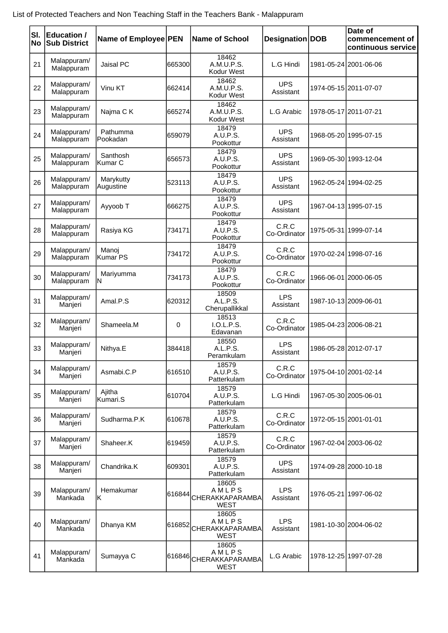| SI.<br><b>No</b> | <b>Education /</b><br><b>Sub District</b> | Name of Employee PEN   |             | <b>Name of School</b>                                   | Designation DOB         | Date of<br>commencement of<br>continuous service |
|------------------|-------------------------------------------|------------------------|-------------|---------------------------------------------------------|-------------------------|--------------------------------------------------|
| 21               | Malappuram/<br>Malappuram                 | Jaisal PC              | 665300      | 18462<br>A.M.U.P.S.<br>Kodur West                       | L.G Hindi               | 1981-05-24 2001-06-06                            |
| 22               | Malappuram/<br>Malappuram                 | Vinu KT                | 662414      | 18462<br>A.M.U.P.S.<br>Kodur West                       | <b>UPS</b><br>Assistant | 1974-05-15 2011-07-07                            |
| 23               | Malappuram/<br>Malappuram                 | Najma C K              | 665274      | 18462<br>A.M.U.P.S.<br>Kodur West                       | L.G Arabic              | 1978-05-17 2011-07-21                            |
| 24               | Malappuram/<br>Malappuram                 | Pathumma<br>Pookadan   | 659079      | 18479<br>A.U.P.S.<br>Pookottur                          | <b>UPS</b><br>Assistant | 1968-05-20 1995-07-15                            |
| 25               | Malappuram/<br>Malappuram                 | Santhosh<br>Kumar C    | 656573      | 18479<br>A.U.P.S.<br>Pookottur                          | <b>UPS</b><br>Assistant | 1969-05-30 1993-12-04                            |
| 26               | Malappuram/<br>Malappuram                 | Marykutty<br>Augustine | 523113      | 18479<br>A.U.P.S.<br>Pookottur                          | <b>UPS</b><br>Assistant | 1962-05-24 1994-02-25                            |
| 27               | Malappuram/<br>Malappuram                 | Ayyoob T               | 666275      | 18479<br>A.U.P.S.<br>Pookottur                          | <b>UPS</b><br>Assistant | 1967-04-13 1995-07-15                            |
| 28               | Malappuram/<br>Malappuram                 | Rasiya KG              | 734171      | 18479<br>A.U.P.S.<br>Pookottur                          | C.R.C<br>Co-Ordinator   | 1975-05-31 1999-07-14                            |
| 29               | Malappuram/<br>Malappuram                 | Manoj<br>Kumar PS      | 734172      | 18479<br>A.U.P.S.<br>Pookottur                          | C.R.C<br>Co-Ordinator   | 1970-02-24 1998-07-16                            |
| 30               | Malappuram/<br>Malappuram                 | Mariyumma<br>ΙN        | 734173      | 18479<br>A.U.P.S.<br>Pookottur                          | C.R.C<br>Co-Ordinator   | 1966-06-01 2000-06-05                            |
| 31               | Malappuram/<br>Manjeri                    | Amal.P.S               | 620312      | 18509<br>A.L.P.S.<br>Cherupallikkal                     | <b>LPS</b><br>Assistant | 1987-10-13 2009-06-01                            |
| 32               | Malappuram/<br>Manjeri                    | Shameela.M             | $\mathbf 0$ | 18513<br>I.O.L.P.S.<br>Edavanan                         | C.R.C<br>Co-Ordinator   | 1985-04-23 2006-08-21                            |
| 33               | Malappuram/<br>Manjeri                    | Nithya.E               | 384418      | 18550<br>A.L.P.S.<br>Peramkulam                         | <b>LPS</b><br>Assistant | 1986-05-28 2012-07-17                            |
| 34               | Malappuram/<br>Manjeri                    | Asmabi.C.P             | 616510      | 18579<br>A.U.P.S.<br>Patterkulam                        | C.R.C<br>Co-Ordinator   | 1975-04-10 2001-02-14                            |
| 35               | Malappuram/<br>Manjeri                    | Ajitha<br>Kumari.S     | 610704      | 18579<br>A.U.P.S.<br>Patterkulam                        | L.G Hindi               | 1967-05-30 2005-06-01                            |
| 36               | Malappuram/<br>Manjeri                    | Sudharma.P.K           | 610678      | 18579<br>A.U.P.S.<br>Patterkulam                        | C.R.C<br>Co-Ordinator   | 1972-05-15 2001-01-01                            |
| 37               | Malappuram/<br>Manjeri                    | Shaheer.K              | 619459      | 18579<br>A.U.P.S.<br>Patterkulam                        | C.R.C<br>Co-Ordinator   | 1967-02-04 2003-06-02                            |
| 38               | Malappuram/<br>Manjeri                    | Chandrika.K            | 609301      | 18579<br>A.U.P.S.<br>Patterkulam                        | <b>UPS</b><br>Assistant | 1974-09-28 2000-10-18                            |
| 39               | Malappuram/<br>Mankada                    | Hemakumar<br>lΚ        | 616844      | 18605<br>AMLPS<br>CHERAKKAPARAMBA<br><b>WEST</b>        | <b>LPS</b><br>Assistant | 1976-05-21 1997-06-02                            |
| 40               | Malappuram/<br>Mankada                    | Dhanya KM              | 616852      | 18605<br>AMLPS<br>CHERAKKAPARAMBA<br><b>WEST</b>        | <b>LPS</b><br>Assistant | 1981-10-30 2004-06-02                            |
| 41               | Malappuram/<br>Mankada                    | Sumayya C              |             | 18605<br>AMLPS<br>616846 CHERAKKAPARAMBA<br><b>WEST</b> | L.G Arabic              | 1978-12-25 1997-07-28                            |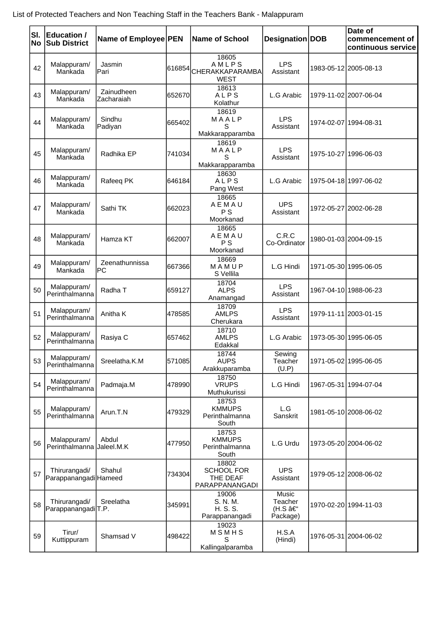| SI.<br>No | <b>Education /</b><br><b>Sub District</b>       | Name of Employee PEN     |        | <b>Name of School</b>                                    | Designation DOB                        | Date of<br>commencement of<br>continuous service |
|-----------|-------------------------------------------------|--------------------------|--------|----------------------------------------------------------|----------------------------------------|--------------------------------------------------|
| 42        | Malappuram/<br>Mankada                          | Jasmin<br>Pari           |        | 18605<br>AMLPS<br>616854 CHERAKKAPARAMBA<br><b>WEST</b>  | <b>LPS</b><br>Assistant                | 1983-05-12 2005-08-13                            |
| 43        | Malappuram/<br>Mankada                          | Zainudheen<br>Zacharaiah | 652670 | 18613<br>ALPS<br>Kolathur                                | L.G Arabic                             | 1979-11-02 2007-06-04                            |
| 44        | Malappuram/<br>Mankada                          | Sindhu<br>Padiyan        | 665402 | 18619<br>MAALP<br>S<br>Makkarapparamba                   | <b>LPS</b><br>Assistant                | 1974-02-07 1994-08-31                            |
| 45        | Malappuram/<br>Mankada                          | Radhika EP               | 741034 | 18619<br>MAALP<br>S<br>Makkarapparamba                   | <b>LPS</b><br>Assistant                | 1975-10-27 1996-06-03                            |
| 46        | Malappuram/<br>Mankada                          | Rafeeq PK                | 646184 | 18630<br>ALPS<br>Pang West                               | L.G Arabic                             | 1975-04-18 1997-06-02                            |
| 47        | Malappuram/<br>Mankada                          | Sathi TK                 | 662023 | 18665<br>AEMAU<br>P S<br>Moorkanad                       | <b>UPS</b><br>Assistant                | 1972-05-27 2002-06-28                            |
| 48        | Malappuram/<br>Mankada                          | Hamza KT                 | 662007 | 18665<br>AEMAU<br>P S<br>Moorkanad                       | C.R.C<br>Co-Ordinator                  | 1980-01-03 2004-09-15                            |
| 49        | Malappuram/<br>Mankada                          | Zeenathunnissa<br>PC     | 667366 | 18669<br>MAMUP<br>S Vellila                              | L.G Hindi                              | 1971-05-30 1995-06-05                            |
| 50        | Malappuram/<br>Perinthalmanna                   | Radha T                  | 659127 | 18704<br><b>ALPS</b><br>Anamangad                        | <b>LPS</b><br>Assistant                | 1967-04-10 1988-06-23                            |
| 51        | Malappuram/<br>Perinthalmanna                   | Anitha K                 | 478585 | 18709<br><b>AMLPS</b><br>Cherukara                       | <b>LPS</b><br>Assistant                | 1979-11-11 2003-01-15                            |
| 52        | Malappuram/<br>Perinthalmanna                   | Rasiya C                 | 657462 | 18710<br><b>AMLPS</b><br>Edakkal                         | L.G Arabic                             | 1973-05-30 1995-06-05                            |
| 53        | Malappuram/<br>Perinthalmanna                   | Sreelatha.K.M            | 571085 | 18744<br><b>AUPS</b><br>Arakkuparamba                    | Sewing<br>Teacher<br>(U.P)             | 1971-05-02 1995-06-05                            |
| 54        | Malappuram/<br>Perinthalmanna                   | Padmaja.M                | 478990 | 18750<br><b>VRUPS</b><br>Muthukurissi                    | L.G Hindi                              | 1967-05-31 1994-07-04                            |
| 55        | Malappuram/<br>Perinthalmanna                   | Arun.T.N                 | 479329 | 18753<br><b>KMMUPS</b><br>Perinthalmanna<br>South        | L.G<br>Sanskrit                        | 1981-05-10 2008-06-02                            |
| 56        | Malappuram/<br>Perinthalmanna                   | Abdul<br>Jaleel.M.K      | 477950 | 18753<br><b>KMMUPS</b><br>Perinthalmanna<br>South        | L.G Urdu                               | 1973-05-20 2004-06-02                            |
| 57        | Thirurangadi/<br>ParappanangadiHameed           | Shahul                   | 734304 | 18802<br><b>SCHOOL FOR</b><br>THE DEAF<br>PARAPPANANGADI | <b>UPS</b><br>Assistant                | 1979-05-12 2008-06-02                            |
| 58        | Thirurangadi/<br>Parappanangadi <sub>T.P.</sub> | Sreelatha                | 345991 | 19006<br>S. N. M.<br>H. S. S.<br>Parappanangadi          | Music<br>Teacher<br>(H.S –<br>Package) | 1970-02-20 1994-11-03                            |
| 59        | Tirur/<br>Kuttippuram                           | Shamsad V                | 498422 | 19023<br>MSMHS<br>S<br>Kallingalparamba                  | H.S.A<br>(Hindi)                       | 1976-05-31 2004-06-02                            |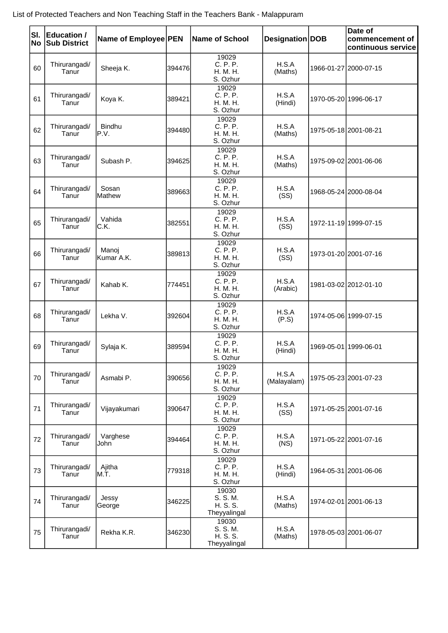| SI.<br><b>No</b> | Education /<br><b>Sub District</b> | Name of Employee PEN |        | Name of School                                | Designation   DOB    | Date of<br>commencement of<br>continuous service |
|------------------|------------------------------------|----------------------|--------|-----------------------------------------------|----------------------|--------------------------------------------------|
| 60               | Thirurangadi/<br>Tanur             | Sheeja K.            | 394476 | 19029<br>C. P. P.<br>H. M. H.<br>S. Ozhur     | H.S.A<br>(Maths)     | 1966-01-27 2000-07-15                            |
| 61               | Thirurangadi/<br>Tanur             | Koya K.              | 389421 | 19029<br>C. P. P.<br>H. M. H.<br>S. Ozhur     | H.S.A<br>(Hindi)     | 1970-05-20 1996-06-17                            |
| 62               | Thirurangadi/<br>Tanur             | Bindhu<br>P.V.       | 394480 | 19029<br>C. P. P.<br>H. M. H.<br>S. Ozhur     | H.S.A<br>(Maths)     | 1975-05-18 2001-08-21                            |
| 63               | Thirurangadi/<br>Tanur             | Subash P.            | 394625 | 19029<br>C. P. P.<br>H. M. H.<br>S. Ozhur     | H.S.A<br>(Maths)     | 1975-09-02 2001-06-06                            |
| 64               | Thirurangadi/<br>Tanur             | Sosan<br>Mathew      | 389663 | 19029<br>C. P. P.<br>H. M. H.<br>S. Ozhur     | H.S.A<br>(SS)        | 1968-05-24 2000-08-04                            |
| 65               | Thirurangadi/<br>Tanur             | Vahida<br>C.K.       | 382551 | 19029<br>C. P. P.<br>H. M. H.<br>S. Ozhur     | H.S.A<br>(SS)        | 1972-11-19 1999-07-15                            |
| 66               | Thirurangadi/<br>Tanur             | Manoj<br>Kumar A.K.  | 389813 | 19029<br>C. P. P.<br>H. M. H.<br>S. Ozhur     | H.S.A<br>(SS)        | 1973-01-20 2001-07-16                            |
| 67               | Thirurangadi/<br>Tanur             | Kahab K.             | 774451 | 19029<br>C. P. P.<br>H. M. H.<br>S. Ozhur     | H.S.A<br>(Arabic)    | 1981-03-02 2012-01-10                            |
| 68               | Thirurangadi/<br>Tanur             | Lekha V.             | 392604 | 19029<br>C. P. P.<br>H. M. H.<br>S. Ozhur     | H.S.A<br>(P.S)       | 1974-05-06 1999-07-15                            |
| 69               | Thirurangadi/<br>Tanur             | Sylaja K.            | 389594 | 19029<br>C. P. P.<br>H. M. H.<br>S. Ozhur     | H.S.A<br>(Hindi)     | 1969-05-01 1999-06-01                            |
| 70               | Thirurangadi/<br>Tanur             | Asmabi P.            | 390656 | 19029<br>C. P. P.<br>H. M. H.<br>S. Ozhur     | H.S.A<br>(Malayalam) | 1975-05-23 2001-07-23                            |
| 71               | Thirurangadi/<br>Tanur             | Vijayakumari         | 390647 | 19029<br>C. P. P.<br>H. M. H.<br>S. Ozhur     | H.S.A<br>(SS)        | 1971-05-25 2001-07-16                            |
| 72               | Thirurangadi/<br>Tanur             | Varghese<br>John     | 394464 | 19029<br>C. P. P.<br>H. M. H.<br>S. Ozhur     | H.S.A<br>(NS)        | 1971-05-22 2001-07-16                            |
| 73               | Thirurangadi/<br>Tanur             | Ajitha<br>M.T.       | 779318 | 19029<br>C. P. P.<br>H. M. H.<br>S. Ozhur     | H.S.A<br>(Hindi)     | 1964-05-31 2001-06-06                            |
| 74               | Thirurangadi/<br>Tanur             | Jessy<br>George      | 346225 | 19030<br>S. S. M.<br>H. S. S.<br>Theyyalingal | H.S.A<br>(Maths)     | 1974-02-01 2001-06-13                            |
| 75               | Thirurangadi/<br>Tanur             | Rekha K.R.           | 346230 | 19030<br>S. S. M.<br>H. S. S.<br>Theyyalingal | H.S.A<br>(Maths)     | 1978-05-03 2001-06-07                            |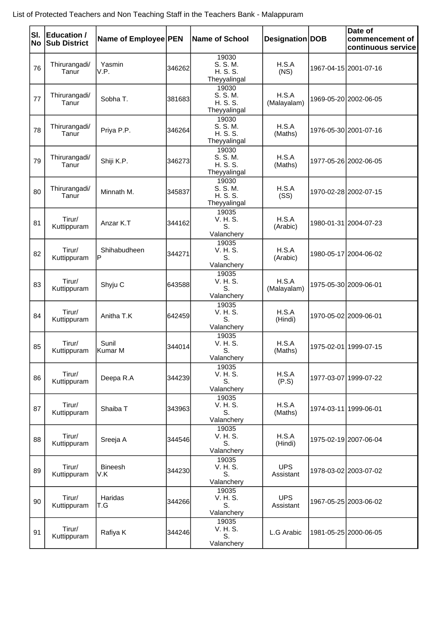| SI.<br><b>No</b> | Education /<br><b>Sub District</b> | Name of Employee PEN |        | Name of School                                | Designation DOB         | Date of<br>commencement of<br>continuous service |
|------------------|------------------------------------|----------------------|--------|-----------------------------------------------|-------------------------|--------------------------------------------------|
| 76               | Thirurangadi/<br>Tanur             | Yasmin<br>V.P.       | 346262 | 19030<br>S. S. M.<br>H. S. S.<br>Theyyalingal | H.S.A<br>(NS)           | 1967-04-15 2001-07-16                            |
| 77               | Thirurangadi/<br>Tanur             | Sobha T.             | 381683 | 19030<br>S. S. M.<br>H. S. S.<br>Theyyalingal | H.S.A<br>(Malayalam)    | 1969-05-20 2002-06-05                            |
| 78               | Thirurangadi/<br>Tanur             | Priya P.P.           | 346264 | 19030<br>S. S. M.<br>H. S. S.<br>Theyyalingal | H.S.A<br>(Maths)        | 1976-05-30 2001-07-16                            |
| 79               | Thirurangadi/<br>Tanur             | Shiji K.P.           | 346273 | 19030<br>S. S. M.<br>H. S. S.<br>Theyyalingal | H.S.A<br>(Maths)        | 1977-05-26 2002-06-05                            |
| 80               | Thirurangadi/<br>Tanur             | Minnath M.           | 345837 | 19030<br>S. S. M.<br>H. S. S.<br>Theyyalingal | H.S.A<br>(SS)           | 1970-02-28 2002-07-15                            |
| 81               | Tirur/<br>Kuttippuram              | Anzar K.T            | 344162 | 19035<br>V. H. S.<br>S.<br>Valanchery         | H.S.A<br>(Arabic)       | 1980-01-31 2004-07-23                            |
| 82               | Tirur/<br>Kuttippuram              | Shihabudheen<br>P    | 344271 | 19035<br>V. H. S.<br>S.<br>Valanchery         | H.S.A<br>(Arabic)       | 1980-05-17 2004-06-02                            |
| 83               | Tirur/<br>Kuttippuram              | Shyju C              | 643588 | 19035<br>V. H. S.<br>S.<br>Valanchery         | H.S.A<br>(Malayalam)    | 1975-05-30 2009-06-01                            |
| 84               | Tirur/<br>Kuttippuram              | Anitha T.K           | 642459 | 19035<br>V. H. S.<br>S.<br>Valanchery         | H.S.A<br>(Hindi)        | 1970-05-02 2009-06-01                            |
| 85               | Tirur/<br>Kuttippuram              | Sunil<br>Kumar M     | 344014 | 19035<br>V. H. S.<br>S.<br>Valanchery         | H.S.A<br>(Maths)        | 1975-02-01 1999-07-15                            |
| 86               | Tirur/<br>Kuttippuram              | Deepa R.A            | 344239 | 19035<br>V. H. S.<br>S.<br>Valanchery         | H.S.A<br>(P.S)          | 1977-03-07 1999-07-22                            |
| 87               | Tirur/<br>Kuttippuram              | Shaiba T             | 343963 | 19035<br>V. H. S.<br>S.<br>Valanchery         | H.S.A<br>(Maths)        | 1974-03-11 1999-06-01                            |
| 88               | Tirur/<br>Kuttippuram              | Sreeja A             | 344546 | 19035<br>V. H. S.<br>S.<br>Valanchery         | H.S.A<br>(Hindi)        | 1975-02-19 2007-06-04                            |
| 89               | Tirur/<br>Kuttippuram              | Bineesh<br>V.K       | 344230 | 19035<br>V. H. S.<br>S.<br>Valanchery         | <b>UPS</b><br>Assistant | 1978-03-02 2003-07-02                            |
| 90               | Tirur/<br>Kuttippuram              | Haridas<br>T.G       | 344266 | 19035<br>V. H. S.<br>S.<br>Valanchery         | <b>UPS</b><br>Assistant | 1967-05-25 2003-06-02                            |
| 91               | Tirur/<br>Kuttippuram              | Rafiya K             | 344246 | 19035<br>V. H. S.<br>S.<br>Valanchery         | L.G Arabic              | 1981-05-25 2000-06-05                            |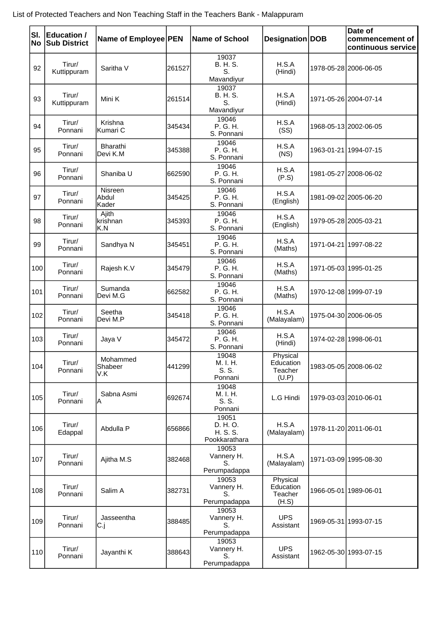| SI.<br>No | <b>Education /</b><br><b>Sub District</b> | Name of Employee PEN       |        | <b>Name of School</b>                          | Designation DOB                           | Date of<br>commencement of<br>continuous service |
|-----------|-------------------------------------------|----------------------------|--------|------------------------------------------------|-------------------------------------------|--------------------------------------------------|
| 92        | Tirur/<br>Kuttippuram                     | Saritha V                  | 261527 | 19037<br>B. H. S.<br>S.<br>Mavandiyur          | H.S.A<br>(Hindi)                          | 1978-05-28 2006-06-05                            |
| 93        | Tirur/<br>Kuttippuram                     | Mini K                     | 261514 | 19037<br>B. H. S.<br>S.<br>Mavandiyur          | H.S.A<br>(Hindi)                          | 1971-05-26 2004-07-14                            |
| 94        | Tirur/<br>Ponnani                         | Krishna<br>Kumari C        | 345434 | 19046<br>P. G. H.<br>S. Ponnani                | H.S.A<br>(SS)                             | 1968-05-13 2002-06-05                            |
| 95        | Tirur/<br>Ponnani                         | Bharathi<br>Devi K.M       | 345388 | 19046<br>P. G. H.<br>S. Ponnani                | H.S.A<br>(NS)                             | 1963-01-21 1994-07-15                            |
| 96        | Tirur/<br>Ponnani                         | Shaniba U                  | 662590 | 19046<br>P. G. H.<br>S. Ponnani                | H.S.A<br>(P.S)                            | 1981-05-27 2008-06-02                            |
| 97        | Tirur/<br>Ponnani                         | Nisreen<br>Abdul<br>Kader  | 345425 | 19046<br>P. G. H.<br>S. Ponnani                | H.S.A<br>(English)                        | 1981-09-02 2005-06-20                            |
| 98        | Tirur/<br>Ponnani                         | Ajith<br>krishnan<br>K.N   | 345393 | 19046<br>P. G. H.<br>S. Ponnani                | H.S.A<br>(English)                        | 1979-05-28 2005-03-21                            |
| 99        | Tirur/<br>Ponnani                         | Sandhya N                  | 345451 | 19046<br>P. G. H.<br>S. Ponnani                | H.S.A<br>(Maths)                          | 1971-04-21 1997-08-22                            |
| 100       | Tirur/<br>Ponnani                         | Rajesh K.V                 | 345479 | 19046<br>P. G. H.<br>S. Ponnani                | H.S.A<br>(Maths)                          | 1971-05-03 1995-01-25                            |
| 101       | Tirur/<br>Ponnani                         | Sumanda<br>Devi M.G        | 662582 | 19046<br>P. G. H.<br>S. Ponnani                | H.S.A<br>(Maths)                          | 1970-12-08 1999-07-19                            |
| 102       | Tirur/<br>Ponnani                         | Seetha<br>Devi M.P         | 345418 | 19046<br>P. G. H.<br>S. Ponnani                | H.S.A<br>(Malayalam)                      | 1975-04-30 2006-06-05                            |
| 103       | Tirur/<br>Ponnani                         | Jaya V                     | 345472 | 19046<br>P. G. H.<br>S. Ponnani                | H.S.A<br>(Hindi)                          | 1974-02-28 1998-06-01                            |
| 104       | Tirur/<br>Ponnani                         | Mohammed<br>Shabeer<br>V.K | 441299 | 19048<br>M. I. H.<br>S. S.<br>Ponnani          | Physical<br>Education<br>Teacher<br>(U.P) | 1983-05-05 2008-06-02                            |
| 105       | Tirur/<br>Ponnani                         | Sabna Asmi<br>ΙA           | 692674 | 19048<br>M. I. H.<br>S. S.<br>Ponnani          | L.G Hindi                                 | 1979-03-03 2010-06-01                            |
| 106       | Tirur/<br>Edappal                         | Abdulla P                  | 656866 | 19051<br>D. H. O.<br>H. S. S.<br>Pookkarathara | H.S.A<br>(Malayalam)                      | 1978-11-20 2011-06-01                            |
| 107       | Tirur/<br>Ponnani                         | Ajitha M.S                 | 382468 | 19053<br>Vannery H.<br>S.<br>Perumpadappa      | H.S.A<br>(Malayalam)                      | 1971-03-09 1995-08-30                            |
| 108       | Tirur/<br>Ponnani                         | Salim A                    | 382731 | 19053<br>Vannery H.<br>S.<br>Perumpadappa      | Physical<br>Education<br>Teacher<br>(H.S) | 1966-05-01 1989-06-01                            |
| 109       | Tirur/<br>Ponnani                         | Jasseentha<br>C.j          | 388485 | 19053<br>Vannery H.<br>S.<br>Perumpadappa      | <b>UPS</b><br>Assistant                   | 1969-05-31 1993-07-15                            |
| 110       | Tirur/<br>Ponnani                         | Jayanthi K                 | 388643 | 19053<br>Vannery H.<br>S.<br>Perumpadappa      | <b>UPS</b><br>Assistant                   | 1962-05-30 1993-07-15                            |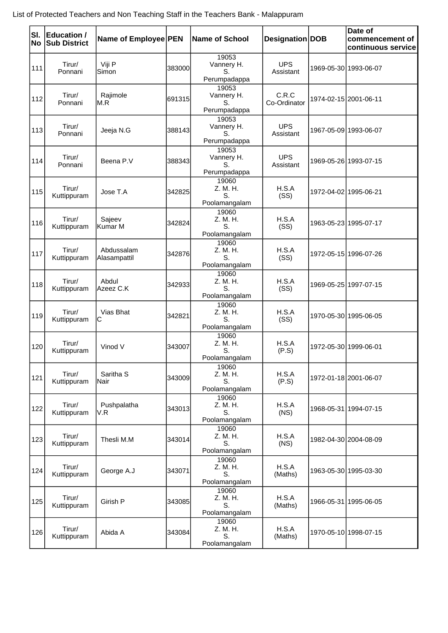| SI.<br><b>No</b> | Education /<br><b>Sub District</b> | Name of Employee PEN         |        | <b>Name of School</b>                     | Designation   DOB       | Date of<br>commencement of<br>continuous service |
|------------------|------------------------------------|------------------------------|--------|-------------------------------------------|-------------------------|--------------------------------------------------|
| 111              | Tirur/<br>Ponnani                  | Viji P<br>Simon              | 383000 | 19053<br>Vannery H.<br>S.<br>Perumpadappa | <b>UPS</b><br>Assistant | 1969-05-30 1993-06-07                            |
| 112              | Tirur/<br>Ponnani                  | Rajimole<br>M.R              | 691315 | 19053<br>Vannery H.<br>S.<br>Perumpadappa | C.R.C<br>Co-Ordinator   | 1974-02-15 2001-06-11                            |
| 113              | Tirur/<br>Ponnani                  | Jeeja N.G                    | 388143 | 19053<br>Vannery H.<br>S.<br>Perumpadappa | <b>UPS</b><br>Assistant | 1967-05-09 1993-06-07                            |
| 114              | Tirur/<br>Ponnani                  | Beena P.V                    | 388343 | 19053<br>Vannery H.<br>S.<br>Perumpadappa | <b>UPS</b><br>Assistant | 1969-05-26 1993-07-15                            |
| 115              | Tirur/<br>Kuttippuram              | Jose T.A                     | 342825 | 19060<br>Z. M. H.<br>S.<br>Poolamangalam  | H.S.A<br>(SS)           | 1972-04-02 1995-06-21                            |
| 116              | Tirur/<br>Kuttippuram              | Sajeev<br>Kumar M            | 342824 | 19060<br>Z. M. H.<br>S.<br>Poolamangalam  | H.S.A<br>(SS)           | 1963-05-23 1995-07-17                            |
| 117              | Tirur/<br>Kuttippuram              | Abdussalam<br>Alasampattil   | 342876 | 19060<br>Z. M. H.<br>S.<br>Poolamangalam  | H.S.A<br>(SS)           | 1972-05-15 1996-07-26                            |
| 118              | Tirur/<br>Kuttippuram              | Abdul<br>Azeez C.K           | 342933 | 19060<br>Z. M. H.<br>S.<br>Poolamangalam  | H.S.A<br>(SS)           | 1969-05-25 1997-07-15                            |
| 119              | Tirur/<br>Kuttippuram              | Vias Bhat<br>C               | 342821 | 19060<br>Z. M. H.<br>S.<br>Poolamangalam  | H.S.A<br>(SS)           | 1970-05-30 1995-06-05                            |
| 120              | Tirur/<br>Kuttippuram              | Vinod V                      | 343007 | 19060<br>Z. M. H.<br>S.<br>Poolamangalam  | H.S.A<br>(P.S)          | 1972-05-30 1999-06-01                            |
| 121              | Tirur/<br>Kuttippuram              | Saritha <sub>S</sub><br>Nair | 343009 | 19060<br>Z. M. H.<br>S.<br>Poolamangalam  | H.S.A<br>(P.S)          | 1972-01-18 2001-06-07                            |
| 122              | Tirur/<br>Kuttippuram              | Pushpalatha<br>V.R           | 343013 | 19060<br>Z. M. H.<br>S.<br>Poolamangalam  | H.S.A<br>(NS)           | 1968-05-31 1994-07-15                            |
| 123              | Tirur/<br>Kuttippuram              | Thesli M.M                   | 343014 | 19060<br>Z. M. H.<br>S.<br>Poolamangalam  | H.S.A<br>(NS)           | 1982-04-30 2004-08-09                            |
| 124              | Tirur/<br>Kuttippuram              | George A.J                   | 343071 | 19060<br>Z. M. H.<br>S.<br>Poolamangalam  | H.S.A<br>(Maths)        | 1963-05-30 1995-03-30                            |
| 125              | Tirur/<br>Kuttippuram              | Girish P                     | 343085 | 19060<br>Z. M. H.<br>S.<br>Poolamangalam  | H.S.A<br>(Maths)        | 1966-05-31 1995-06-05                            |
| 126              | Tirur/<br>Kuttippuram              | Abida A                      | 343084 | 19060<br>Z. M. H.<br>S.<br>Poolamangalam  | H.S.A<br>(Maths)        | 1970-05-10 1998-07-15                            |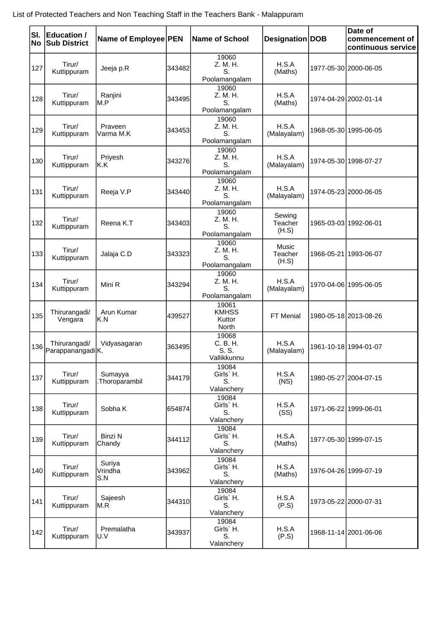| SI.<br><b>No</b> | Education /<br><b>Sub District</b> | Name of Employee PEN     |        | Name of School                            | Designation DOB                  | Date of<br>commencement of<br>continuous service |
|------------------|------------------------------------|--------------------------|--------|-------------------------------------------|----------------------------------|--------------------------------------------------|
| 127              | Tirur/<br>Kuttippuram              | Jeeja p.R                | 343482 | 19060<br>Z. M. H.<br>S.<br>Poolamangalam  | H.S.A<br>(Maths)                 | 1977-05-30 2000-06-05                            |
| 128              | Tirur/<br>Kuttippuram              | Ranjini<br>M.P           | 343495 | 19060<br>Z. M. H.<br>S.<br>Poolamangalam  | H.S.A<br>(Maths)                 | 1974-04-29 2002-01-14                            |
| 129              | Tirur/<br>Kuttippuram              | Praveen<br>Varma M.K     | 343453 | 19060<br>Z. M. H.<br>S.<br>Poolamangalam  | H.S.A<br>(Malayalam)             | 1968-05-30 1995-06-05                            |
| 130              | Tirur/<br>Kuttippuram              | Priyesh<br>K.K           | 343276 | 19060<br>Z. M. H.<br>S.<br>Poolamangalam  | H.S.A<br>(Malayalam)             | 1974-05-30 1998-07-27                            |
| 131              | Tirur/<br>Kuttippuram              | Reeja V.P                | 343440 | 19060<br>Z. M. H.<br>S.<br>Poolamangalam  | H.S.A<br>(Malayalam)             | 1974-05-23 2000-06-05                            |
| 132              | Tirur/<br>Kuttippuram              | Reena K.T                | 343403 | 19060<br>Z. M. H.<br>S.<br>Poolamangalam  | Sewing<br>Teacher<br>(H.S)       | 1965-03-03 1992-06-01                            |
| 133              | Tirur/<br>Kuttippuram              | Jalaja C.D               | 343323 | 19060<br>Z. M. H.<br>S.<br>Poolamangalam  | <b>Music</b><br>Teacher<br>(H.S) | 1966-05-21 1993-06-07                            |
| 134              | Tirur/<br>Kuttippuram              | Mini R                   | 343294 | 19060<br>Z. M. H.<br>S.<br>Poolamangalam  | H.S.A<br>(Malayalam)             | 1970-04-06 1995-06-05                            |
| 135              | Thirurangadi/<br>Vengara           | Arun Kumar<br>K.N        | 439527 | 19061<br><b>KMHSS</b><br>Kuttor<br>North  | FT Menial                        | 1980-05-18 2013-08-26                            |
| 136              | Thirurangadi/<br>ParappanangadiK.  | Vidyasagaran             | 363495 | 19068<br>C. B. H.<br>S. S.<br>Vallikkunnu | H.S.A<br>(Malayalam)             | 1961-10-18 1994-01-07                            |
| 137              | Tirur/<br>Kuttippuram              | Sumayya<br>Thoroparambil | 344179 | 19084<br>Girls' H.<br>S.<br>Valanchery    | H.S.A<br>(NS)                    | 1980-05-27 2004-07-15                            |
| 138              | Tirur/<br>Kuttippuram              | Sobha K                  | 654874 | 19084<br>Girls' H.<br>S.<br>Valanchery    | H.S.A<br>(SS)                    | 1971-06-22 1999-06-01                            |
| 139              | Tirur/<br>Kuttippuram              | <b>Binzi N</b><br>Chandy | 344112 | 19084<br>Girls' H.<br>S.<br>Valanchery    | H.S.A<br>(Maths)                 | 1977-05-30 1999-07-15                            |
| 140              | Tirur/<br>Kuttippuram              | Suriya<br>Vrindha<br>S.N | 343962 | 19084<br>Girls' H.<br>S.<br>Valanchery    | H.S.A<br>(Maths)                 | 1976-04-26 1999-07-19                            |
| 141              | Tirur/<br>Kuttippuram              | Sajeesh<br>M.R           | 344310 | 19084<br>Girls' H.<br>S.<br>Valanchery    | H.S.A<br>(P.S)                   | 1973-05-22 2000-07-31                            |
| 142              | Tirur/<br>Kuttippuram              | Premalatha<br>U.V        | 343937 | 19084<br>Girls' H.<br>S.<br>Valanchery    | H.S.A<br>(P.S)                   | 1968-11-14 2001-06-06                            |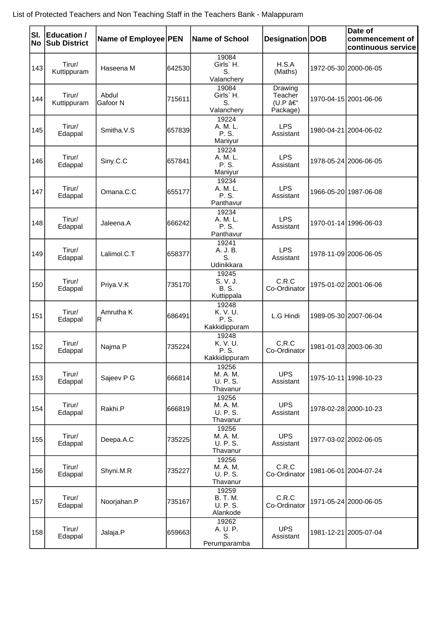| SI.<br>No | <b>Education /</b><br><b>Sub District</b> | Name of Employee PEN |        | <b>Name of School</b>                            | Designation DOB                          | Date of<br>commencement of<br>continuous service |
|-----------|-------------------------------------------|----------------------|--------|--------------------------------------------------|------------------------------------------|--------------------------------------------------|
| 143       | Tirur/<br>Kuttippuram                     | Haseena M            | 642530 | 19084<br>Girls' H.<br>S.<br>Valanchery           | H.S.A<br>(Maths)                         | 1972-05-30 2000-06-05                            |
| 144       | Tirur/<br>Kuttippuram                     | Abdul<br>Gafoor N    | 715611 | 19084<br>Girls' H.<br>S.<br>Valanchery           | Drawing<br>Teacher<br>(U.P –<br>Package) | 1970-04-15 2001-06-06                            |
| 145       | Tirur/<br>Edappal                         | Smitha.V.S           | 657839 | 19224<br>A. M. L.<br>P. S.<br>Maniyur            | <b>LPS</b><br>Assistant                  | 1980-04-21 2004-06-02                            |
| 146       | Tirur/<br>Edappal                         | Siny.C.C             | 657841 | 19224<br>A. M. L.<br>P. S.<br>Maniyur            | <b>LPS</b><br>Assistant                  | 1978-05-24 2006-06-05                            |
| 147       | Tirur/<br>Edappal                         | Omana.C.C            | 655177 | 19234<br>A. M. L.<br>P. S.<br>Panthavur          | <b>LPS</b><br>Assistant                  | 1966-05-20 1987-06-08                            |
| 148       | Tirur/<br>Edappal                         | Jaleena.A            | 666242 | 19234<br>A. M. L.<br>P. S.<br>Panthavur          | <b>LPS</b><br>Assistant                  | 1970-01-14 1996-06-03                            |
| 149       | Tirur/<br>Edappal                         | Lalimol.C.T          | 658377 | 19241<br>A. J. B.<br>S.<br>Udinikkara            | <b>LPS</b><br>Assistant                  | 1978-11-09 2006-06-05                            |
| 150       | Tirur/<br>Edappal                         | Priya.V.K            | 735170 | 19245<br>S. V. J.<br><b>B.S.</b><br>Kuttippala   | C.R.C<br>Co-Ordinator                    | 1975-01-02 2001-06-06                            |
| 151       | Tirur/<br>Edappal                         | Amrutha K<br>lR.     | 686491 | 19248<br>K. V. U.<br>P. S.<br>Kakkidippuram      | L.G Hindi                                | 1989-05-30 2007-06-04                            |
| 152       | Tirur/<br>Edappal                         | Najma P              | 735224 | 19248<br>K. V. U.<br>P. S.<br>Kakkidippuram      | C.R.C<br>Co-Ordinator                    | 1981-01-03 2003-06-30                            |
| 153       | Tirur/<br>Edappal                         | Sajeev P G           | 666814 | 19256<br>M. A. M.<br>U. P. S.<br>Thavanur        | <b>UPS</b><br>Assistant                  | 1975-10-11 1998-10-23                            |
| 154       | Tirur/<br>Edappal                         | Rakhi.P              | 666819 | 19256<br>M. A. M.<br>U. P. S.<br>Thavanur        | <b>UPS</b><br>Assistant                  | 1978-02-28 2000-10-23                            |
| 155       | Tirur/<br>Edappal                         | Deepa.A.C            | 735225 | 19256<br>M. A. M.<br>U. P. S.<br>Thavanur        | <b>UPS</b><br>Assistant                  | 1977-03-02 2002-06-05                            |
| 156       | Tirur/<br>Edappal                         | Shyni.M.R            | 735227 | 19256<br>M. A. M.<br>U. P. S.<br>Thavanur        | C.R.C<br>Co-Ordinator                    | 1981-06-01 2004-07-24                            |
| 157       | Tirur/<br>Edappal                         | Noorjahan.P          | 735167 | 19259<br><b>B. T. M.</b><br>U. P. S.<br>Alankode | C.R.C<br>Co-Ordinator                    | 1971-05-24 2000-06-05                            |
| 158       | Tirur/<br>Edappal                         | Jalaja.P             | 659663 | 19262<br>A. U. P.<br>S.<br>Perumparamba          | <b>UPS</b><br>Assistant                  | 1981-12-21 2005-07-04                            |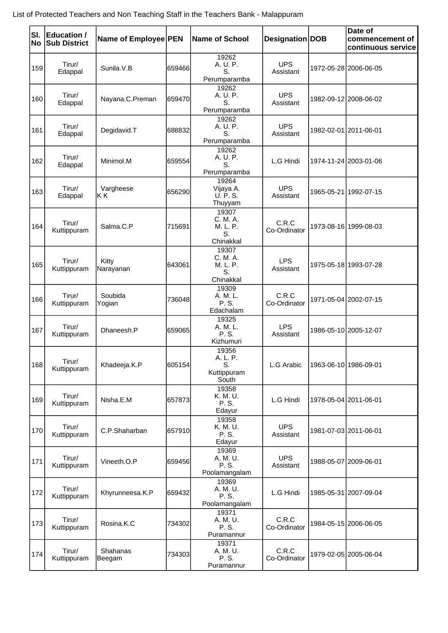| SI.<br>No | Education /<br><b>Sub District</b> | Name of Employee PEN |         | <b>Name of School</b>                            | Designation DOB         | Date of<br>commencement of<br>continuous service |
|-----------|------------------------------------|----------------------|---------|--------------------------------------------------|-------------------------|--------------------------------------------------|
| 159       | Tirur/<br>Edappal                  | Sunila.V.B           | 659466  | 19262<br>A. U. P.<br>S.<br>Perumparamba          | <b>UPS</b><br>Assistant | 1972-05-28 2006-06-05                            |
| 160       | Tirur/<br>Edappal                  | Nayana.C.Preman      | 659470  | 19262<br>A. U. P.<br>S.<br>Perumparamba          | <b>UPS</b><br>Assistant | 1982-09-12 2008-06-02                            |
| 161       | Tirur/<br>Edappal                  | Degidavid.T          | 688832  | 19262<br>A. U. P.<br>S.<br>Perumparamba          | <b>UPS</b><br>Assistant | 1982-02-01 2011-06-01                            |
| 162       | Tirur/<br>Edappal                  | Minimol.M            | 659554  | 19262<br>A. U. P.<br>S.<br>Perumparamba          | L.G Hindi               | 1974-11-24 2003-01-06                            |
| 163       | Tirur/<br>Edappal                  | Vargheese<br>KΚ      | 656290  | 19264<br>Vijaya A.<br>U. P. S.<br>Thuyyam        | <b>UPS</b><br>Assistant | 1965-05-21 1992-07-15                            |
| 164       | Tirur/<br>Kuttippuram              | Salma, C.P           | 715691  | 19307<br>C. M. A.<br>M. L. P.<br>S.<br>Chinakkal | C.R.C<br>Co-Ordinator   | 1973-08-16 1999-08-03                            |
| 165       | Tirur/<br>Kuttippuram              | Kitty<br>Narayanan   | 643061  | 19307<br>C. M. A.<br>M. L. P.<br>S.<br>Chinakkal | <b>LPS</b><br>Assistant | 1975-05-18 1993-07-28                            |
| 166       | Tirur/<br>Kuttippuram              | Soubida<br>Yogian    | 736048  | 19309<br>A. M. L.<br>P. S.<br>Edachalam          | C.R.C<br>Co-Ordinator   | 1971-05-04 2002-07-15                            |
| 167       | Tirur/<br>Kuttippuram              | Dhaneesh.P           | 659065  | 19325<br>A. M. L.<br>P. S.<br>Kizhumuri          | <b>LPS</b><br>Assistant | 1986-05-10 2005-12-07                            |
| 168       | Tirur/<br>Kuttippuram              | Khadeeja.K.P         | 605154  | 19356<br>A. L. P.<br>S.<br>Kuttippuram<br>South  | L.G Arabic              | 1963-06-10 1986-09-01                            |
| 169       | Tirur/<br>Kuttippuram              | Nisha.E.M            | 657873  | 19358<br>K. M. U.<br>P. S.<br>Edayur             | L.G Hindi               | 1978-05-04 2011-06-01                            |
| 170       | Tirur/<br>Kuttippuram              | C.P.Shaharban        | 657910  | 19358<br>K. M. U.<br>P. S.<br>Edayur             | <b>UPS</b><br>Assistant | 1981-07-03 2011-06-01                            |
| 171       | Tirur/<br>Kuttippuram              | Vineeth.O.P          | 659456  | 19369<br>A. M. U.<br>P. S.<br>Poolamangalam      | <b>UPS</b><br>Assistant | 1988-05-07 2009-06-01                            |
| 172       | Tirur/<br>Kuttippuram              | Khyrunneesa.K.P      | 659432  | 19369<br>A. M. U.<br>P. S.<br>Poolamangalam      | L.G Hindi               | 1985-05-31 2007-09-04                            |
| 173       | Tirur/<br>Kuttippuram              | Rosina.K.C           | 734302  | 19371<br>A. M. U.<br>P. S.<br>Puramannur         | C.R.C<br>Co-Ordinator   | 1984-05-15 2006-06-05                            |
| 174       | Tirur/<br>Kuttippuram              | Shahanas<br> Beegam  | 7343031 | 19371<br>A. M. U.<br>P. S.<br>Puramannur         | C.R.C<br>Co-Ordinator   | 1979-02-05 2005-06-04                            |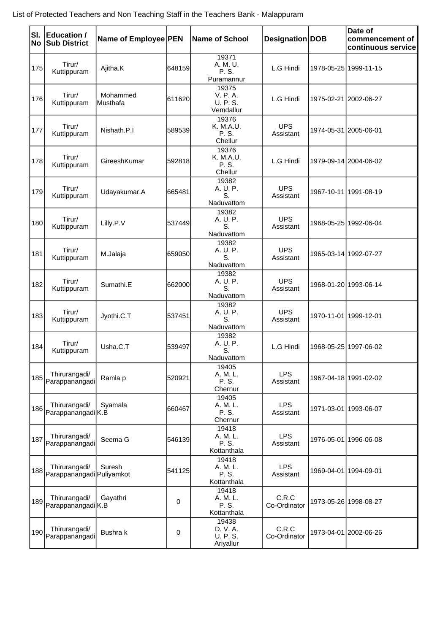| SI.<br><b>No</b> | Education /<br><b>Sub District</b>         | Name of Employee PEN |        | Name of School                             | Designation DOB         | Date of<br>commencement of<br>continuous service |
|------------------|--------------------------------------------|----------------------|--------|--------------------------------------------|-------------------------|--------------------------------------------------|
| 175              | Tirur/<br>Kuttippuram                      | Ajitha.K             | 648159 | 19371<br>A. M. U.<br>P. S.<br>Puramannur   | L.G Hindi               | 1978-05-25 1999-11-15                            |
| 176              | Tirur/<br>Kuttippuram                      | Mohammed<br>Musthafa | 611620 | 19375<br>V. P. A.<br>U. P. S.<br>Vemdallur | L.G Hindi               | 1975-02-21 2002-06-27                            |
| 177              | Tirur/<br>Kuttippuram                      | Nishath.P.I          | 589539 | 19376<br>K. M.A.U.<br>P. S.<br>Chellur     | <b>UPS</b><br>Assistant | 1974-05-31 2005-06-01                            |
| 178              | Tirur/<br>Kuttippuram                      | GireeshKumar         | 592818 | 19376<br>K. M.A.U.<br>P. S.<br>Chellur     | L.G Hindi               | 1979-09-14 2004-06-02                            |
| 179              | Tirur/<br>Kuttippuram                      | Udayakumar.A         | 665481 | 19382<br>A. U. P.<br>S.<br>Naduvattom      | <b>UPS</b><br>Assistant | 1967-10-11 1991-08-19                            |
| 180              | Tirur/<br>Kuttippuram                      | Lilly.P.V            | 537449 | 19382<br>A. U. P.<br>S.<br>Naduvattom      | <b>UPS</b><br>Assistant | 1968-05-25 1992-06-04                            |
| 181              | Tirur/<br>Kuttippuram                      | M.Jalaja             | 659050 | 19382<br>A. U. P.<br>S.<br>Naduvattom      | <b>UPS</b><br>Assistant | 1965-03-14 1992-07-27                            |
| 182              | Tirur/<br>Kuttippuram                      | Sumathi.E            | 662000 | 19382<br>A. U. P.<br>S.<br>Naduvattom      | <b>UPS</b><br>Assistant | 1968-01-20 1993-06-14                            |
| 183              | Tirur/<br>Kuttippuram                      | Jyothi.C.T           | 537451 | 19382<br>A. U. P.<br>S.<br>Naduvattom      | <b>UPS</b><br>Assistant | 1970-11-01 1999-12-01                            |
| 184              | Tirur/<br>Kuttippuram                      | Usha.C.T             | 539497 | 19382<br>A. U. P.<br>S.<br>Naduvattom      | L.G Hindi               | 1968-05-25 1997-06-02                            |
|                  | Thirurangadi/<br>185 Parappanangadi        | Ramla p              | 520921 | 19405<br>A. M. L.<br>P. S.<br>Chernur      | <b>LPS</b><br>Assistant | 1967-04-18 1991-02-02                            |
|                  | Thirurangadi/<br>186 Parappanangadi K.B    | Syamala              | 660467 | 19405<br>A. M. L.<br>P. S.<br>Chernur      | <b>LPS</b><br>Assistant | 1971-03-01 1993-06-07                            |
| 187              | Thirurangadi/<br>Parappanangadi            | Seema G              | 546139 | 19418<br>A. M. L.<br>P. S.<br>Kottanthala  | <b>LPS</b><br>Assistant | 1976-05-01 1996-06-08                            |
| 188              | Thirurangadi/<br>Parappanangadi Puliyamkot | Suresh               | 541125 | 19418<br>A. M. L.<br>P. S.<br>Kottanthala  | <b>LPS</b><br>Assistant | 1969-04-01 1994-09-01                            |
|                  | Thirurangadi/<br>189 Parappanangadi K.B    | Gayathri             | 0      | 19418<br>A. M. L.<br>P. S.<br>Kottanthala  | C.R.C<br>Co-Ordinator   | 1973-05-26 1998-08-27                            |
| 190              | Thirurangadi/<br>Parappanangadi            | Bushra k             | 0      | 19438<br>D. V. A.<br>U. P. S.<br>Ariyallur | C.R.C<br>Co-Ordinator   | 1973-04-01 2002-06-26                            |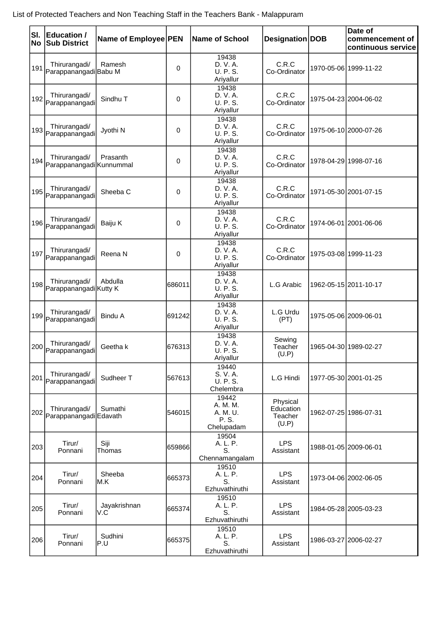| SI.<br>No | <b>Education /</b><br><b>Sub District</b>   | Name of Employee PEN |        | <b>Name of School</b>                                | Designation DOB                           | Date of<br>commencement of<br>continuous service |
|-----------|---------------------------------------------|----------------------|--------|------------------------------------------------------|-------------------------------------------|--------------------------------------------------|
| 191       | Thirurangadi/<br>ParappanangadiBabu M       | Ramesh               | 0      | 19438<br>D. V. A.<br>U. P. S.<br>Ariyallur           | C.R.C<br>Co-Ordinator                     | 1970-05-06 1999-11-22                            |
|           | Thirurangadi/<br>192 Parappanangadi         | Sindhu T             | 0      | 19438<br>D. V. A.<br>U. P. S.<br>Ariyallur           | C.R.C<br>Co-Ordinator                     | 1975-04-23 2004-06-02                            |
|           | Thirurangadi/<br>193 Parappanangadi         | Jyothi N             | 0      | 19438<br>D. V. A.<br>U. P. S.<br>Ariyallur           | C.R.C<br>Co-Ordinator                     | 1975-06-10 2000-07-26                            |
| 194       | Thirurangadi/<br>Parappanangadi Kunnummal   | Prasanth             | 0      | 19438<br>D. V. A.<br>U. P. S.<br>Ariyallur           | C.R.C<br>Co-Ordinator                     | 1978-04-29 1998-07-16                            |
|           | Thirurangadi/<br>195 Parappanangadi         | Sheeba C             | 0      | 19438<br>D. V. A.<br>U. P. S.<br>Ariyallur           | C.R.C<br>Co-Ordinator                     | 1971-05-30 2001-07-15                            |
|           | Thirurangadi/<br>196 Parappanangadi         | Baiju K              | 0      | 19438<br>D. V. A.<br>U. P. S.<br>Ariyallur           | C.R.C<br>Co-Ordinator                     | 1974-06-01 2001-06-06                            |
|           | Thirurangadi/<br>197 Parappanangadi         | Reena N              | 0      | 19438<br>D. V. A.<br>U. P. S.<br>Ariyallur           | C.R.C<br>Co-Ordinator                     | 1975-03-08 1999-11-23                            |
|           | Thirurangadi/<br>198 Parappanangadi Kutty K | Abdulla              | 686011 | 19438<br>D. V. A.<br>U. P. S.<br>Ariyallur           | L.G Arabic                                | 1962-05-15 2011-10-17                            |
|           | Thirurangadi/<br>199 Parappanangadi         | <b>Bindu A</b>       | 691242 | 19438<br>D. V. A.<br>U. P. S.<br>Ariyallur           | L.G Urdu<br>(PT)                          | 1975-05-06 2009-06-01                            |
|           | Thirurangadi/<br>200 Parappanangadi         | Geetha k             | 676313 | 19438<br>D. V. A.<br>U. P. S.<br>Ariyallur           | Sewing<br>Teacher<br>(U.P)                | 1965-04-30 1989-02-27                            |
| 201       | Thirurangadi/<br>Parappanangadi             | Sudheer T            | 567613 | 19440<br>S. V. A.<br><b>U. P. S.</b><br>Chelembra    | L.G Hindi                                 | 1977-05-30 2001-01-25                            |
|           | Thirurangadi/<br>202 Parappanangadi Edavath | Sumathi              | 546015 | 19442<br>A. M. M.<br>A. M. U.<br>P. S.<br>Chelupadam | Physical<br>Education<br>Teacher<br>(U.P) | 1962-07-25 1986-07-31                            |
| 203       | Tirur/<br>Ponnani                           | Siji<br>Thomas       | 659866 | 19504<br>A. L. P.<br>S.<br>Chennamangalam            | <b>LPS</b><br>Assistant                   | 1988-01-05 2009-06-01                            |
| 204       | Tirur/<br>Ponnani                           | Sheeba<br>IM.K       | 665373 | 19510<br>A. L. P.<br>S.<br>Ezhuvathiruthi            | <b>LPS</b><br>Assistant                   | 1973-04-06 2002-06-05                            |
| 205       | Tirur/<br>Ponnani                           | Jayakrishnan<br>V.C  | 665374 | 19510<br>A. L. P.<br>S.<br>Ezhuvathiruthi            | <b>LPS</b><br>Assistant                   | 1984-05-28 2005-03-23                            |
| 206       | Tirur/<br>Ponnani                           | Sudhini<br>P.U       | 665375 | 19510<br>A. L. P.<br>S.<br>Ezhuvathiruthi            | <b>LPS</b><br>Assistant                   | 1986-03-27 2006-02-27                            |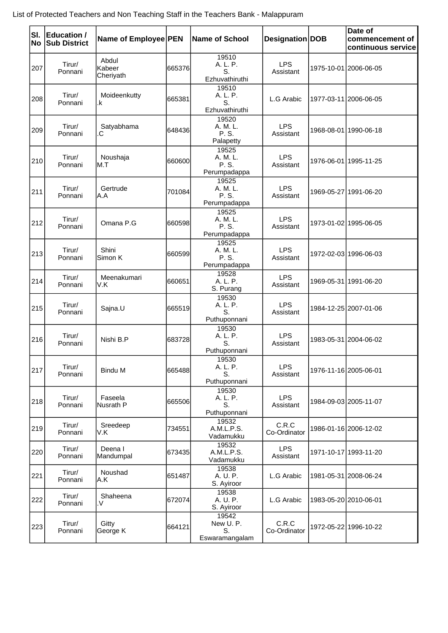| SI.<br><b>No</b> | Education /<br><b>Sub District</b> | Name of Employee PEN         |        | <b>Name of School</b>                      | Designation DOB         | Date of<br>commencement of<br>continuous service |
|------------------|------------------------------------|------------------------------|--------|--------------------------------------------|-------------------------|--------------------------------------------------|
| 207              | Tirur/<br>Ponnani                  | Abdul<br>Kabeer<br>Cheriyath | 665376 | 19510<br>A. L. P.<br>S.<br>Ezhuvathiruthi  | <b>LPS</b><br>Assistant | 1975-10-01 2006-06-05                            |
| 208              | Tirur/<br>Ponnani                  | Moideenkutty<br>.k           | 665381 | 19510<br>A. L. P.<br>S.<br>Ezhuvathiruthi  | L.G Arabic              | 1977-03-11 2006-06-05                            |
| 209              | Tirur/<br>Ponnani                  | Satyabhama<br>C.             | 648436 | 19520<br>A. M. L.<br>P. S.<br>Palapetty    | <b>LPS</b><br>Assistant | 1968-08-01 1990-06-18                            |
| 210              | Tirur/<br>Ponnani                  | Noushaja<br>M.T              | 660600 | 19525<br>A. M. L.<br>P. S.<br>Perumpadappa | <b>LPS</b><br>Assistant | 1976-06-01   1995-11-25                          |
| 211              | Tirur/<br>Ponnani                  | Gertrude<br>A.A              | 701084 | 19525<br>A. M. L.<br>P. S.<br>Perumpadappa | <b>LPS</b><br>Assistant | 1969-05-27 1991-06-20                            |
| 212              | Tirur/<br>Ponnani                  | Omana P.G                    | 660598 | 19525<br>A. M. L.<br>P. S.<br>Perumpadappa | <b>LPS</b><br>Assistant | 1973-01-02 1995-06-05                            |
| 213              | Tirur/<br>Ponnani                  | Shini<br>Simon K             | 660599 | 19525<br>A. M. L.<br>P. S.<br>Perumpadappa | <b>LPS</b><br>Assistant | 1972-02-03 1996-06-03                            |
| 214              | Tirur/<br>Ponnani                  | Meenakumari<br>V.K           | 660651 | 19528<br>A. L. P.<br>S. Purang             | <b>LPS</b><br>Assistant | 1969-05-31 1991-06-20                            |
| 215              | Tirur/<br>Ponnani                  | Sajna.U                      | 665519 | 19530<br>A. L. P.<br>S.<br>Puthuponnani    | <b>LPS</b><br>Assistant | 1984-12-25 2007-01-06                            |
| 216              | Tirur/<br>Ponnani                  | Nishi B.P                    | 683728 | 19530<br>A. L. P.<br>S.<br>Puthuponnani    | <b>LPS</b><br>Assistant | 1983-05-31 2004-06-02                            |
| 217              | Tirur/<br>Ponnani                  | <b>Bindu M</b>               | 665488 | 19530<br>A. L. P.<br>S.<br>Puthuponnani    | <b>LPS</b><br>Assistant | 1976-11-16 2005-06-01                            |
| 218              | Tirur/<br>Ponnani                  | Faseela<br>Nusrath P         | 665506 | 19530<br>A. L. P.<br>S.<br>Puthuponnani    | <b>LPS</b><br>Assistant | 1984-09-03 2005-11-07                            |
| 219              | Tirur/<br>Ponnani                  | Sreedeep<br>V.K              | 734551 | 19532<br>A.M.L.P.S.<br>Vadamukku           | C.R.C<br>Co-Ordinator   | 1986-01-16 2006-12-02                            |
| 220              | Tirur/<br>Ponnani                  | Deena I<br>Mandumpal         | 673435 | 19532<br>A.M.L.P.S.<br>Vadamukku           | <b>LPS</b><br>Assistant | 1971-10-17 1993-11-20                            |
| 221              | Tirur/<br>Ponnani                  | Noushad<br>A.K               | 651487 | 19538<br>A. U. P.<br>S. Ayiroor            | L.G Arabic              | 1981-05-31 2008-06-24                            |
| 222              | Tirur/<br>Ponnani                  | Shaheena<br>.V               | 672074 | 19538<br>A. U. P.<br>S. Ayiroor            | L.G Arabic              | 1983-05-20 2010-06-01                            |
| 223              | Tirur/<br>Ponnani                  | Gitty<br>George K            | 664121 | 19542<br>New U.P.<br>S.<br>Eswaramangalam  | C.R.C<br>Co-Ordinator   | 1972-05-22 1996-10-22                            |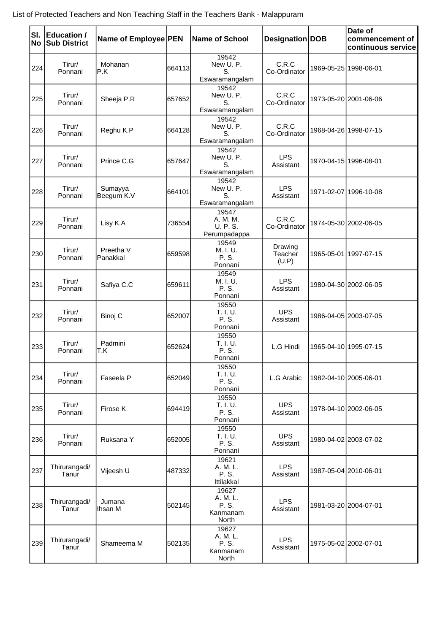| <b>No</b> | SI. Education /<br><b>Sub District</b> | Name of Employee PEN  |        | <b>Name of School</b>                           | Designation DOB             | Date of<br>commencement of<br>continuous service |
|-----------|----------------------------------------|-----------------------|--------|-------------------------------------------------|-----------------------------|--------------------------------------------------|
| 224       | Tirur/<br>Ponnani                      | Mohanan<br>P.K        | 664113 | 19542<br>New U.P.<br>S.<br>Eswaramangalam       | C.R.C<br>Co-Ordinator       | 1969-05-25 1998-06-01                            |
| 225       | Tirur/<br>Ponnani                      | Sheeja P.R            | 657652 | 19542<br>New U.P.<br>S.<br>Eswaramangalam       | C.R.C<br>Co-Ordinator       | 1973-05-20 2001-06-06                            |
| 226       | Tirur/<br>Ponnani                      | Reghu K.P             | 664128 | 19542<br>New U.P.<br>S.<br>Eswaramangalam       | C.R.C<br>Co-Ordinator       | 1968-04-26 1998-07-15                            |
| 227       | Tirur/<br>Ponnani                      | Prince C.G            | 657647 | 19542<br>New U.P.<br>S.<br>Eswaramangalam       | <b>LPS</b><br>Assistant     | 1970-04-15 1996-08-01                            |
| 228       | Tirur/<br>Ponnani                      | Sumayya<br>Beegum K.V | 664101 | 19542<br>New U.P.<br>S.<br>Eswaramangalam       | <b>LPS</b><br>Assistant     | 1971-02-07 1996-10-08                            |
| 229       | Tirur/<br>Ponnani                      | Lisy K.A              | 736554 | 19547<br>A. M. M.<br>U. P. S.<br>Perumpadappa   | C.R.C<br>Co-Ordinator       | 1974-05-30 2002-06-05                            |
| 230       | Tirur/<br>Ponnani                      | Preetha V<br>Panakkal | 659598 | 19549<br>M. I. U.<br>P. S.<br>Ponnani           | Drawing<br>Teacher<br>(U.P) | 1965-05-01 1997-07-15                            |
| 231       | Tirur/<br>Ponnani                      | Safiya C.C            | 659611 | 19549<br>M. I. U.<br>P. S.<br>Ponnani           | <b>LPS</b><br>Assistant     | 1980-04-30 2002-06-05                            |
| 232       | Tirur/<br>Ponnani                      | Binoj C               | 652007 | 19550<br>T. I. U.<br>P. S.<br>Ponnani           | <b>UPS</b><br>Assistant     | 1986-04-05 2003-07-05                            |
| 233       | Tirur/<br>Ponnani                      | Padmini<br>T.K        | 652624 | 19550<br>T. I. U.<br>P. S.<br>Ponnani           | L.G Hindi                   | 1965-04-10 1995-07-15                            |
| 234       | Tirur/<br>Ponnani                      | Faseela P             | 652049 | 19550<br>T. I. U.<br>P. S.<br>Ponnani           | L.G Arabic                  | 1982-04-10 2005-06-01                            |
| 235       | Tirur/<br>Ponnani                      | Firose K              | 694419 | 19550<br>T. I. U.<br>P. S.<br>Ponnani           | <b>UPS</b><br>Assistant     | 1978-04-10 2002-06-05                            |
| 236       | Tirur/<br>Ponnani                      | Ruksana Y             | 652005 | 19550<br>T. I. U.<br>P. S.<br>Ponnani           | <b>UPS</b><br>Assistant     | 1980-04-02 2003-07-02                            |
| 237       | Thirurangadi/<br>Tanur                 | Vijeesh U             | 487332 | 19621<br>A. M. L.<br>P. S.<br>Ittilakkal        | <b>LPS</b><br>Assistant     | 1987-05-04 2010-06-01                            |
| 238       | Thirurangadi/<br>Tanur                 | Jumana<br>Ihsan M     | 502145 | 19627<br>A. M. L.<br>P. S.<br>Kanmanam<br>North | <b>LPS</b><br>Assistant     | 1981-03-20 2004-07-01                            |
| 239       | Thirurangadi/<br>Tanur                 | Shameema M            | 502135 | 19627<br>A. M. L.<br>P. S.<br>Kanmanam<br>North | <b>LPS</b><br>Assistant     | 1975-05-02 2002-07-01                            |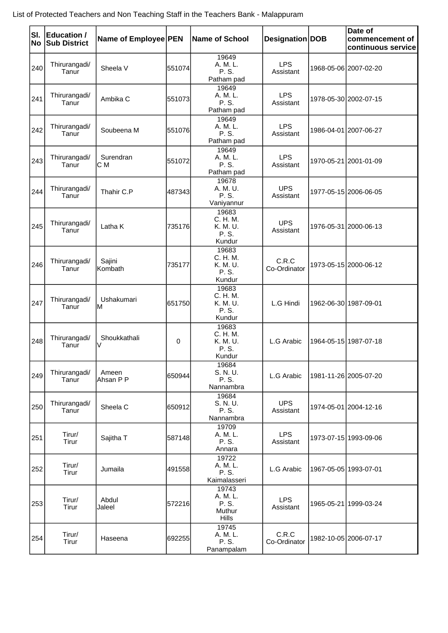| SI.<br>No | Education /<br><b>Sub District</b> | Name of Employee PEN |        | <b>Name of School</b>                                | Designation   DOB       | Date of<br>commencement of<br>continuous service |
|-----------|------------------------------------|----------------------|--------|------------------------------------------------------|-------------------------|--------------------------------------------------|
| 240       | Thirurangadi/<br>Tanur             | Sheela V             | 551074 | 19649<br>A. M. L.<br>P. S.<br>Patham pad             | <b>LPS</b><br>Assistant | 1968-05-06 2007-02-20                            |
| 241       | Thirurangadi/<br>Tanur             | Ambika C             | 551073 | 19649<br>A. M. L.<br>P. S.<br>Patham pad             | <b>LPS</b><br>Assistant | 1978-05-30 2002-07-15                            |
| 242       | Thirurangadi/<br>Tanur             | Soubeena M           | 551076 | 19649<br>A. M. L.<br>P. S.<br>Patham pad             | <b>LPS</b><br>Assistant | 1986-04-01 2007-06-27                            |
| 243       | Thirurangadi/<br>Tanur             | Surendran<br>C M     | 551072 | 19649<br>A. M. L.<br>P. S.<br>Patham pad             | <b>LPS</b><br>Assistant | 1970-05-21 2001-01-09                            |
| 244       | Thirurangadi/<br>Tanur             | Thahir C.P           | 487343 | 19678<br>A. M. U.<br>P. S.<br>Vaniyannur             | <b>UPS</b><br>Assistant | 1977-05-15 2006-06-05                            |
| 245       | Thirurangadi/<br>Tanur             | Latha K              | 735176 | 19683<br>C. H. M.<br>K. M. U.<br>P. S.<br>Kundur     | <b>UPS</b><br>Assistant | 1976-05-31 2000-06-13                            |
| 246       | Thirurangadi/<br>Tanur             | Sajini<br>Kombath    | 735177 | 19683<br>C. H. M.<br>K. M. U.<br>P. S.<br>Kundur     | C.R.C<br>Co-Ordinator   | 1973-05-15 2000-06-12                            |
| 247       | Thirurangadi/<br>Tanur             | Ushakumari<br>lΜ     | 651750 | 19683<br>C. H. M.<br>K. M. U.<br>P. S.<br>Kundur     | L.G Hindi               | 1962-06-30 1987-09-01                            |
| 248       | Thirurangadi/<br>Tanur             | Shoukkathali<br>V    | 0      | 19683<br>C. H. M.<br>K. M. U.<br>P. S.<br>Kundur     | L.G Arabic              | 1964-05-15 1987-07-18                            |
| 249       | Thirurangadi/<br>Tanur             | Ameen<br>Ahsan P P   | 650944 | 19684<br>S. N. U.<br>P. S.<br>Nannambra              | L.G Arabic              | 1981-11-26 2005-07-20                            |
| 250       | Thirurangadi/<br>Tanur             | Sheela C             | 650912 | 19684<br>S. N. U.<br>P. S.<br>Nannambra              | <b>UPS</b><br>Assistant | 1974-05-01 2004-12-16                            |
| 251       | Tirur/<br>Tirur                    | Sajitha T            | 587148 | 19709<br>A. M. L.<br>P. S.<br>Annara                 | <b>LPS</b><br>Assistant | 1973-07-15 1993-09-06                            |
| 252       | Tirur/<br>Tirur                    | Jumaila              | 491558 | 19722<br>A. M. L.<br>P. S.<br>Kaimalasseri           | L.G Arabic              | 1967-05-05 1993-07-01                            |
| 253       | Tirur/<br>Tirur                    | Abdul<br>Jaleel      | 572216 | 19743<br>A. M. L.<br>P. S.<br>Muthur<br><b>Hills</b> | <b>LPS</b><br>Assistant | 1965-05-21 1999-03-24                            |
| 254       | Tirur/<br>Tirur                    | Haseena              | 692255 | 19745<br>A. M. L.<br>P. S.<br>Panampalam             | C.R.C<br>Co-Ordinator   | 1982-10-05 2006-07-17                            |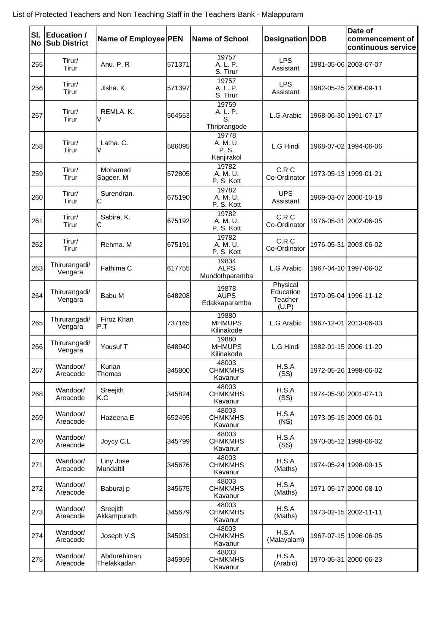| SI.<br>No | <b>Education /</b><br><b>Sub District</b> | Name of Employee PEN       |        | <b>Name of School</b>                    | Designation DOB                           | Date of<br>commencement of<br>continuous service |
|-----------|-------------------------------------------|----------------------------|--------|------------------------------------------|-------------------------------------------|--------------------------------------------------|
| 255       | Tirur/<br>Tirur                           | Anu. P. R                  | 571371 | 19757<br>A. L. P.<br>S. Tirur            | <b>LPS</b><br>Assistant                   | 1981-05-06 2003-07-07                            |
| 256       | Tirur/<br>Tirur                           | Jisha. K                   | 571397 | 19757<br>A. L. P.<br>S. Tirur            | <b>LPS</b><br>Assistant                   | 1982-05-25 2006-09-11                            |
| 257       | Tirur/<br>Tirur                           | REMLA, K.<br>V             | 504553 | 19759<br>A. L. P.<br>S.<br>Thriprangode  | L.G Arabic                                | 1968-06-30 1991-07-17                            |
| 258       | Tirur/<br>Tirur                           | Latha. C.<br>V             | 586095 | 19778<br>A. M. U.<br>P. S.<br>Kanjirakol | L.G Hindi                                 | 1968-07-02 1994-06-06                            |
| 259       | Tirur/<br>Tirur                           | Mohamed<br>Sageer. M       | 572805 | 19782<br>A. M. U.<br>P. S. Kott          | C.R.C<br>Co-Ordinator                     | 1973-05-13 1999-01-21                            |
| 260       | Tirur/<br>Tirur                           | Surendran.<br>Iс           | 675190 | 19782<br>A. M. U.<br>P. S. Kott          | <b>UPS</b><br>Assistant                   | 1969-03-07 2000-10-18                            |
| 261       | Tirur/<br>Tirur                           | Sabira, K.<br>С            | 675192 | 19782<br>A. M. U.<br>P. S. Kott          | C.R.C<br>Co-Ordinator                     | 1976-05-31 2002-06-05                            |
| 262       | Tirur/<br>Tirur                           | Rehma, M                   | 675191 | 19782<br>A. M. U.<br>P. S. Kott          | C.R.C<br>Co-Ordinator                     | 1976-05-31 2003-06-02                            |
| 263       | Thirurangadi/<br>Vengara                  | Fathima C                  | 617755 | 19834<br><b>ALPS</b><br>Mundothparamba   | L.G Arabic                                | 1967-04-10 1997-06-02                            |
| 264       | Thirurangadi/<br>Vengara                  | Babu M                     | 648208 | 19878<br><b>AUPS</b><br>Edakkaparamba    | Physical<br>Education<br>Teacher<br>(U.P) | 1970-05-04 1996-11-12                            |
| 265       | Thirurangadi/<br>Vengara                  | Firoz Khan<br>P.T          | 737165 | 19880<br><b>MHMUPS</b><br>Kilinakode     | L.G Arabic                                | 1967-12-01 2013-06-03                            |
| 266       | Thirurangadi/<br>Vengara                  | Yousuf T                   | 648940 | 19880<br><b>MHMUPS</b><br>Kilinakode     | L.G Hindi                                 | 1982-01-15 2006-11-20                            |
| 267       | Wandoor/<br>Areacode                      | Kurian<br>Thomas           | 345800 | 48003<br><b>CHMKMHS</b><br>Kavanur       | H.S.A<br>(SS)                             | 1972-05-26 1998-06-02                            |
| 268       | Wandoor/<br>Areacode                      | Sreejith<br>lK.C           | 345824 | 48003<br><b>CHMKMHS</b><br>Kavanur       | H.S.A<br>(SS)                             | 1974-05-30 2001-07-13                            |
| 269       | Wandoor/<br>Areacode                      | Hazeena E                  | 652495 | 48003<br><b>CHMKMHS</b><br>Kavanur       | H.S.A<br>(NS)                             | 1973-05-15 2009-06-01                            |
| 270       | Wandoor/<br>Areacode                      | Joycy C.L                  | 345799 | 48003<br><b>CHMKMHS</b><br>Kavanur       | H.S.A<br>(SS)                             | 1970-05-12 1998-06-02                            |
| 271       | Wandoor/<br>Areacode                      | Liny Jose<br>Mundattil     | 345676 | 48003<br><b>CHMKMHS</b><br>Kavanur       | H.S.A<br>(Maths)                          | 1974-05-24 1998-09-15                            |
| 272       | Wandoor/<br>Areacode                      | Baburaj p                  | 345675 | 48003<br><b>CHMKMHS</b><br>Kavanur       | H.S.A<br>(Maths)                          | 1971-05-17 2000-08-10                            |
| 273       | Wandoor/<br>Areacode                      | Sreejith<br>Akkampurath    | 345679 | 48003<br><b>CHMKMHS</b><br>Kavanur       | H.S.A<br>(Maths)                          | 1973-02-15 2002-11-11                            |
| 274       | Wandoor/<br>Areacode                      | Joseph V.S                 | 345931 | 48003<br><b>CHMKMHS</b><br>Kavanur       | H.S.A<br>(Malayalam)                      | 1967-07-15 1996-06-05                            |
| 275       | Wandoor/<br>Areacode                      | Abdurehiman<br>Thelakkadan | 345959 | 48003<br><b>CHMKMHS</b><br>Kavanur       | H.S.A<br>(Arabic)                         | 1970-05-31 2000-06-23                            |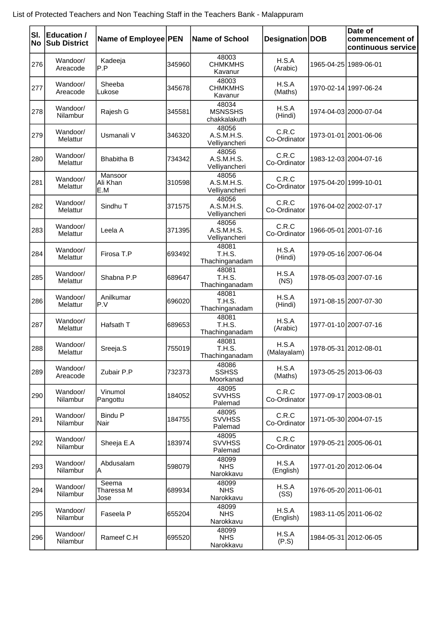| SI.<br>No | <b>Education /</b><br><b>Sub District</b> | Name of Employee PEN        |        | <b>Name of School</b>                   | Designation DOB       | Date of<br>commencement of<br>continuous service |
|-----------|-------------------------------------------|-----------------------------|--------|-----------------------------------------|-----------------------|--------------------------------------------------|
| 276       | Wandoor/<br>Areacode                      | Kadeeja<br>P.P              | 345960 | 48003<br><b>CHMKMHS</b><br>Kavanur      | H.S.A<br>(Arabic)     | 1965-04-25 1989-06-01                            |
| 277       | Wandoor/<br>Areacode                      | Sheeba<br>Lukose            | 345678 | 48003<br><b>CHMKMHS</b><br>Kavanur      | H.S.A<br>(Maths)      | 1970-02-14 1997-06-24                            |
| 278       | Wandoor/<br>Nilambur                      | Rajesh G                    | 345581 | 48034<br><b>MSNSSHS</b><br>chakkalakuth | H.S.A<br>(Hindi)      | 1974-04-03 2000-07-04                            |
| 279       | Wandoor/<br>Melattur                      | Usmanali V                  | 346320 | 48056<br>A.S.M.H.S.<br>Velliyancheri    | C.R.C<br>Co-Ordinator | 1973-01-01 2001-06-06                            |
| 280       | Wandoor/<br>Melattur                      | <b>Bhabitha B</b>           | 734342 | 48056<br>A.S.M.H.S.<br>Velliyancheri    | C.R.C<br>Co-Ordinator | 1983-12-03 2004-07-16                            |
| 281       | Wandoor/<br>Melattur                      | Mansoor<br>Ali Khan<br>E.M  | 310598 | 48056<br>A.S.M.H.S.<br>Velliyancheri    | C.R.C<br>Co-Ordinator | 1975-04-20 1999-10-01                            |
| 282       | Wandoor/<br>Melattur                      | Sindhu T                    | 371575 | 48056<br>A.S.M.H.S.<br>Velliyancheri    | C.R.C<br>Co-Ordinator | 1976-04-02 2002-07-17                            |
| 283       | Wandoor/<br>Melattur                      | Leela A                     | 371395 | 48056<br>A.S.M.H.S.<br>Velliyancheri    | C.R.C<br>Co-Ordinator | 1966-05-01 2001-07-16                            |
| 284       | Wandoor/<br>Melattur                      | Firosa T.P                  | 693492 | 48081<br>T.H.S.<br>Thachinganadam       | H.S.A<br>(Hindi)      | 1979-05-16 2007-06-04                            |
| 285       | Wandoor/<br>Melattur                      | Shabna P.P                  | 689647 | 48081<br>T.H.S.<br>Thachinganadam       | H.S.A<br>(NS)         | 1978-05-03 2007-07-16                            |
| 286       | Wandoor/<br>Melattur                      | Anilkumar<br>P.V            | 696020 | 48081<br>T.H.S.<br>Thachinganadam       | H.S.A<br>(Hindi)      | 1971-08-15 2007-07-30                            |
| 287       | Wandoor/<br>Melattur                      | Hafsath T                   | 689653 | 48081<br>T.H.S.<br>Thachinganadam       | H.S.A<br>(Arabic)     | 1977-01-10 2007-07-16                            |
| 288       | Wandoor/<br>Melattur                      | Sreeja.S                    | 755019 | 48081<br>T.H.S.<br>Thachinganadam       | H.S.A<br>(Malayalam)  | 1978-05-31 2012-08-01                            |
| 289       | Wandoor/<br>Areacode                      | Zubair P.P                  | 732373 | 48086<br><b>SSHSS</b><br>Moorkanad      | H.S.A<br>(Maths)      | 1973-05-25 2013-06-03                            |
| 290       | Wandoor/<br>Nilambur                      | Vinumol<br>Pangottu         | 184052 | 48095<br><b>SVVHSS</b><br>Palemad       | C.R.C<br>Co-Ordinator | 1977-09-17 2003-08-01                            |
| 291       | Wandoor/<br>Nilambur                      | <b>Bindu P</b><br>Nair      | 184755 | 48095<br><b>SVVHSS</b><br>Palemad       | C.R.C<br>Co-Ordinator | 1971-05-30 2004-07-15                            |
| 292       | Wandoor/<br>Nilambur                      | Sheeja E.A                  | 183974 | 48095<br><b>SVVHSS</b><br>Palemad       | C.R.C<br>Co-Ordinator | 1979-05-21 2005-06-01                            |
| 293       | Wandoor/<br>Nilambur                      | Abdusalam<br>A              | 598079 | 48099<br><b>NHS</b><br>Narokkavu        | H.S.A<br>(English)    | 1977-01-20 2012-06-04                            |
| 294       | Wandoor/<br>Nilambur                      | Seema<br>Tharessa M<br>Jose | 689934 | 48099<br><b>NHS</b><br>Narokkavu        | H.S.A<br>(SS)         | 1976-05-20 2011-06-01                            |
| 295       | Wandoor/<br>Nilambur                      | Faseela P                   | 655204 | 48099<br><b>NHS</b><br>Narokkavu        | H.S.A<br>(English)    | 1983-11-05 2011-06-02                            |
| 296       | Wandoor/<br>Nilambur                      | Rameef C.H                  | 695520 | 48099<br><b>NHS</b><br>Narokkavu        | H.S.A<br>(P.S)        | 1984-05-31 2012-06-05                            |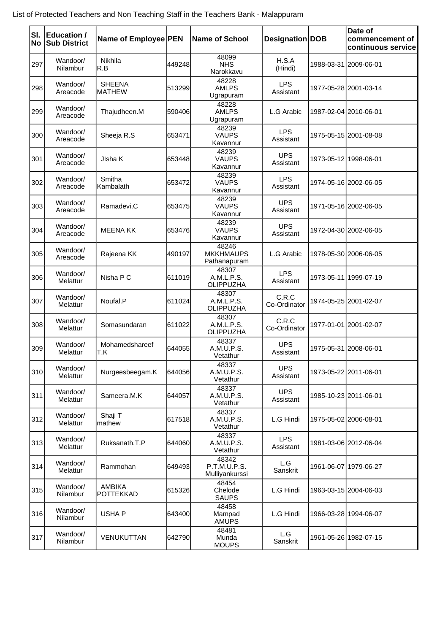| lsı.<br>No | <b>Education /</b><br><b>Sub District</b> | Name of Employee PEN           |        | <b>Name of School</b>                     | Designation DOB         | Date of<br>commencement of<br>continuous service |
|------------|-------------------------------------------|--------------------------------|--------|-------------------------------------------|-------------------------|--------------------------------------------------|
| 297        | Wandoor/<br>Nilambur                      | Nikhila<br>R.B                 | 449248 | 48099<br><b>NHS</b><br>Narokkavu          | H.S.A<br>(Hindi)        | 1988-03-31 2009-06-01                            |
| 298        | Wandoor/<br>Areacode                      | <b>SHEENA</b><br><b>MATHEW</b> | 513299 | 48228<br><b>AMLPS</b><br>Ugrapuram        | <b>LPS</b><br>Assistant | 1977-05-28 2001-03-14                            |
| 299        | Wandoor/<br>Areacode                      | Thajudheen.M                   | 590406 | 48228<br><b>AMLPS</b><br>Ugrapuram        | L.G Arabic              | 1987-02-04 2010-06-01                            |
| 300        | Wandoor/<br>Areacode                      | Sheeja R.S                     | 653471 | 48239<br><b>VAUPS</b><br>Kavannur         | <b>LPS</b><br>Assistant | 1975-05-15 2001-08-08                            |
| 301        | Wandoor/<br>Areacode                      | JIsha K                        | 653448 | 48239<br><b>VAUPS</b><br>Kavannur         | <b>UPS</b><br>Assistant | 1973-05-12 1998-06-01                            |
| 302        | Wandoor/<br>Areacode                      | Smitha<br>Kambalath            | 653472 | 48239<br><b>VAUPS</b><br>Kavannur         | <b>LPS</b><br>Assistant | 1974-05-16 2002-06-05                            |
| 303        | Wandoor/<br>Areacode                      | Ramadevi.C                     | 653475 | 48239<br><b>VAUPS</b><br>Kavannur         | <b>UPS</b><br>Assistant | 1971-05-16 2002-06-05                            |
| 304        | Wandoor/<br>Areacode                      | <b>MEENA KK</b>                | 653476 | 48239<br><b>VAUPS</b><br>Kavannur         | <b>UPS</b><br>Assistant | 1972-04-30 2002-06-05                            |
| 305        | Wandoor/<br>Areacode                      | Rajeena KK                     | 490197 | 48246<br><b>MKKHMAUPS</b><br>Pathanapuram | L.G Arabic              | 1978-05-30 2006-06-05                            |
| 306        | Wandoor/<br>Melattur                      | Nisha P C                      | 611019 | 48307<br>A.M.L.P.S.<br>OLIPPUZHA          | <b>LPS</b><br>Assistant | 1973-05-11 1999-07-19                            |
| 307        | Wandoor/<br>Melattur                      | Noufal.P                       | 611024 | 48307<br>A.M.L.P.S.<br>OLIPPUZHA          | C.R.C<br>Co-Ordinator   | 1974-05-25 2001-02-07                            |
| 308        | Wandoor/<br>Melattur                      | Somasundaran                   | 611022 | 48307<br>A.M.L.P.S.<br>OLIPPUZHA          | C.R.C<br>Co-Ordinator   | 1977-01-01 2001-02-07                            |
| 309        | Wandoor/<br>Melattur                      | Mohamedshareef<br>T.K          | 644055 | 48337<br>A.M.U.P.S.<br>Vetathur           | <b>UPS</b><br>Assistant | 1975-05-31 2008-06-01                            |
| 310        | Wandoor/<br>Melattur                      | Nurgeesbeegam.K                | 644056 | 48337<br>A.M.U.P.S.<br>Vetathur           | <b>UPS</b><br>Assistant | 1973-05-22 2011-06-01                            |
| 311        | Wandoor/<br>Melattur                      | Sameera.M.K                    | 644057 | 48337<br>A.M.U.P.S.<br>Vetathur           | <b>UPS</b><br>Assistant | 1985-10-23 2011-06-01                            |
| 312        | Wandoor/<br>Melattur                      | Shaji T<br>mathew              | 617518 | 48337<br>A.M.U.P.S.<br>Vetathur           | L.G Hindi               | 1975-05-02 2006-08-01                            |
| 313        | Wandoor/<br>Melattur                      | Ruksanath.T.P                  | 644060 | 48337<br>A.M.U.P.S.<br>Vetathur           | <b>LPS</b><br>Assistant | 1981-03-06 2012-06-04                            |
| 314        | Wandoor/<br>Melattur                      | Rammohan                       | 649493 | 48342<br>P.T.M.U.P.S.<br>Mulliyankurssi   | L.G<br>Sanskrit         | 1961-06-07 1979-06-27                            |
| 315        | Wandoor/<br>Nilambur                      | <b>AMBIKA</b><br>POTTEKKAD     | 615326 | 48454<br>Chelode<br><b>SAUPS</b>          | L.G Hindi               | 1963-03-15 2004-06-03                            |
| 316        | Wandoor/<br>Nilambur                      | <b>USHAP</b>                   | 643400 | 48458<br>Mampad<br><b>AMUPS</b>           | L.G Hindi               | 1966-03-28 1994-06-07                            |
| 317        | Wandoor/<br>Nilambur                      | VENUKUTTAN                     | 642790 | 48481<br>Munda<br><b>MOUPS</b>            | L.G<br>Sanskrit         | 1961-05-26 1982-07-15                            |